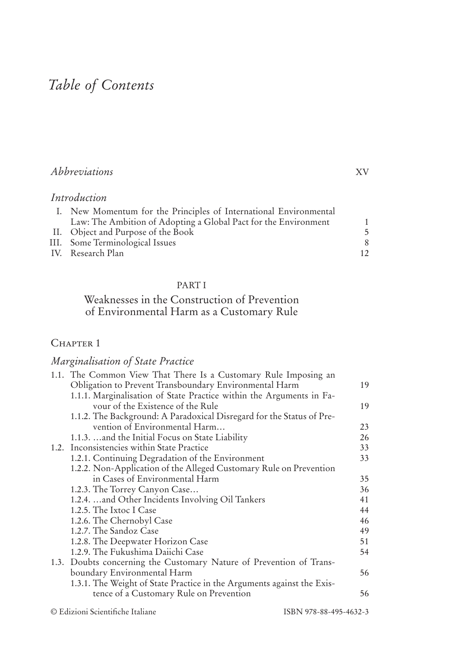# *Table of Contents*

## *Abbreviations* XV

## *Introduction*

| I. New Momentum for the Principles of International Environmental |    |
|-------------------------------------------------------------------|----|
| Law: The Ambition of Adopting a Global Pact for the Environment   |    |
| II. Object and Purpose of the Book                                | 5  |
| III. Some Terminological Issues                                   |    |
| IV. Research Plan                                                 | 12 |

#### PART I

### Weaknesses in the Construction of Prevention of Environmental Harm as a Customary Rule

#### CHAPTER 1

### *Marginalisation of State Practice*

| 1.1. The Common View That There Is a Customary Rule Imposing an        |    |
|------------------------------------------------------------------------|----|
| Obligation to Prevent Transboundary Environmental Harm                 | 19 |
| 1.1.1. Marginalisation of State Practice within the Arguments in Fa-   |    |
| vour of the Existence of the Rule                                      | 19 |
| 1.1.2. The Background: A Paradoxical Disregard for the Status of Pre-  |    |
| vention of Environmental Harm                                          | 23 |
| 1.1.3.  and the Initial Focus on State Liability                       | 26 |
| 1.2. Inconsistencies within State Practice                             | 33 |
| 1.2.1. Continuing Degradation of the Environment                       | 33 |
| 1.2.2. Non-Application of the Alleged Customary Rule on Prevention     |    |
| in Cases of Environmental Harm                                         | 35 |
| 1.2.3. The Torrey Canyon Case                                          | 36 |
| 1.2.4.  and Other Incidents Involving Oil Tankers                      | 41 |
| 1.2.5. The Ixtoc I Case                                                | 44 |
| 1.2.6. The Chernobyl Case                                              | 46 |
| 1.2.7. The Sandoz Case                                                 | 49 |
| 1.2.8. The Deepwater Horizon Case                                      | 51 |
| 1.2.9. The Fukushima Daiichi Case                                      | 54 |
| 1.3. Doubts concerning the Customary Nature of Prevention of Trans-    |    |
| boundary Environmental Harm                                            | 56 |
| 1.3.1. The Weight of State Practice in the Arguments against the Exis- |    |
| tence of a Customary Rule on Prevention                                | 56 |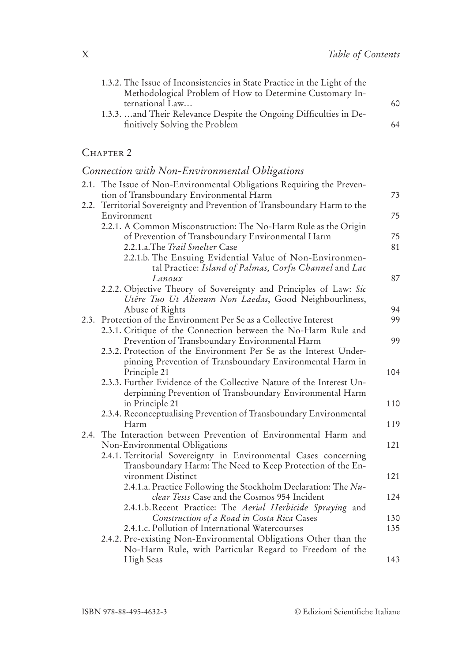| 1.3.2. The Issue of Inconsistencies in State Practice in the Light of the |    |
|---------------------------------------------------------------------------|----|
| Methodological Problem of How to Determine Customary In-                  |    |
| ternational Law                                                           | 60 |
| 1.3.3.  and Their Relevance Despite the Ongoing Difficulties in De-       |    |
| finitively Solving the Problem                                            | 64 |

#### CHAPTER 2

## Connection with Non-Environmental Obligations

|      | 2.1. The Issue of Non-Environmental Obligations Requiring the Preven-<br>tion of Transboundary Environmental Harm | 73  |
|------|-------------------------------------------------------------------------------------------------------------------|-----|
| 2.2. | Territorial Sovereignty and Prevention of Transboundary Harm to the                                               |     |
|      | Environment                                                                                                       | 75  |
|      | 2.2.1. A Common Misconstruction: The No-Harm Rule as the Origin                                                   |     |
|      | of Prevention of Transboundary Environmental Harm                                                                 | 75  |
|      | 2.2.1.a.The Trail Smelter Case                                                                                    | 81  |
|      | 2.2.1.b. The Ensuing Evidential Value of Non-Environmen-                                                          |     |
|      | tal Practice: Island of Palmas, Corfu Channel and Lac                                                             |     |
|      | Lanoux                                                                                                            | 87  |
|      | 2.2.2. Objective Theory of Sovereignty and Principles of Law: Sic                                                 |     |
|      | Utěre Tuo Ut Alienum Non Laedas, Good Neighbourliness,<br>Abuse of Rights                                         | 94  |
|      | 2.3. Protection of the Environment Per Se as a Collective Interest                                                | 99  |
|      | 2.3.1. Critique of the Connection between the No-Harm Rule and                                                    |     |
|      | Prevention of Transboundary Environmental Harm                                                                    | 99  |
|      | 2.3.2. Protection of the Environment Per Se as the Interest Under-                                                |     |
|      | pinning Prevention of Transboundary Environmental Harm in                                                         |     |
|      | Principle 21                                                                                                      | 104 |
|      | 2.3.3. Further Evidence of the Collective Nature of the Interest Un-                                              |     |
|      | derpinning Prevention of Transboundary Environmental Harm                                                         |     |
|      | in Principle 21                                                                                                   | 110 |
|      | 2.3.4. Reconceptualising Prevention of Transboundary Environmental<br>Harm                                        | 119 |
| 2.4. | The Interaction between Prevention of Environmental Harm and                                                      |     |
|      | Non-Environmental Obligations                                                                                     | 121 |
|      | 2.4.1. Territorial Sovereignty in Environmental Cases concerning                                                  |     |
|      | Transboundary Harm: The Need to Keep Protection of the En-                                                        |     |
|      | vironment Distinct                                                                                                | 121 |
|      | 2.4.1.a. Practice Following the Stockholm Declaration: The Nu-                                                    |     |
|      | <i>clear Tests</i> Case and the Cosmos 954 Incident                                                               | 124 |
|      | 2.4.1.b. Recent Practice: The Aerial Herbicide Spraying and                                                       |     |
|      | Construction of a Road in Costa Rica Cases                                                                        | 130 |
|      | 2.4.1.c. Pollution of International Watercourses                                                                  | 135 |
|      | 2.4.2. Pre-existing Non-Environmental Obligations Other than the                                                  |     |
|      | No-Harm Rule, with Particular Regard to Freedom of the                                                            |     |
|      | High Seas                                                                                                         | 143 |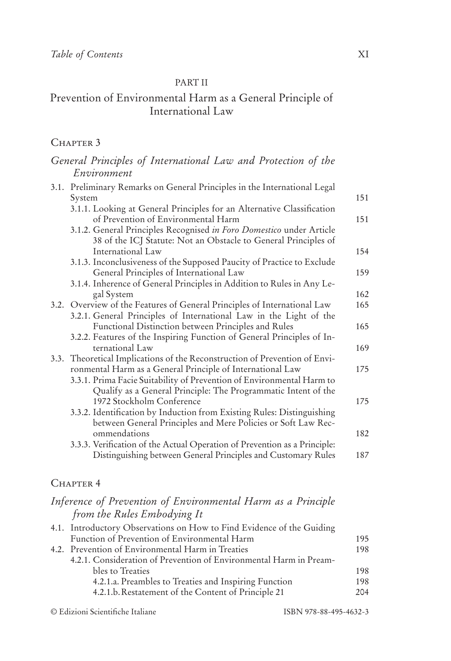#### PART II

## Prevention of Environmental Harm as a General Principle of International Law

#### CHAPTER 3

| General Principles of International Law and Protection of the                                                                                  |     |
|------------------------------------------------------------------------------------------------------------------------------------------------|-----|
| Environment                                                                                                                                    |     |
| 3.1. Preliminary Remarks on General Principles in the International Legal<br>System                                                            | 151 |
| 3.1.1. Looking at General Principles for an Alternative Classification<br>of Prevention of Environmental Harm                                  | 151 |
| 3.1.2. General Principles Recognised in Foro Domestico under Article<br>38 of the ICJ Statute: Not an Obstacle to General Principles of        |     |
| International Law                                                                                                                              | 154 |
| 3.1.3. Inconclusiveness of the Supposed Paucity of Practice to Exclude<br>General Principles of International Law                              | 159 |
| 3.1.4. Inherence of General Principles in Addition to Rules in Any Le-<br>gal System                                                           | 162 |
| 3.2. Overview of the Features of General Principles of International Law<br>3.2.1. General Principles of International Law in the Light of the | 165 |
| Functional Distinction between Principles and Rules<br>3.2.2. Features of the Inspiring Function of General Principles of In-                  | 165 |
| ternational Law                                                                                                                                | 169 |
| 3.3. Theoretical Implications of the Reconstruction of Prevention of Envi-<br>ronmental Harm as a General Principle of International Law       | 175 |
| 3.3.1. Prima Facie Suitability of Prevention of Environmental Harm to<br>Qualify as a General Principle: The Programmatic Intent of the        |     |
| 1972 Stockholm Conference                                                                                                                      | 175 |
| 3.3.2. Identification by Induction from Existing Rules: Distinguishing<br>between General Principles and Mere Policies or Soft Law Rec-        |     |
| ommendations                                                                                                                                   | 182 |
| 3.3.3. Verification of the Actual Operation of Prevention as a Principle:<br>Distinguishing between General Principles and Customary Rules     | 187 |

### CHAPTER 4

### *Inference of Prevention of Environmental Harm as a Principle from the Rules Embodying It*

| 4.1. Introductory Observations on How to Find Evidence of the Guiding |                                                       |
|-----------------------------------------------------------------------|-------------------------------------------------------|
| Function of Prevention of Environmental Harm                          | 195                                                   |
| 4.2. Prevention of Environmental Harm in Treaties                     | 198                                                   |
| 4.2.1. Consideration of Prevention of Environmental Harm in Pream-    |                                                       |
| bles to Treaties                                                      | 198                                                   |
|                                                                       | 198                                                   |
| 4.2.1.b. Restatement of the Content of Principle 21                   | 204                                                   |
|                                                                       | 4.2.1.a. Preambles to Treaties and Inspiring Function |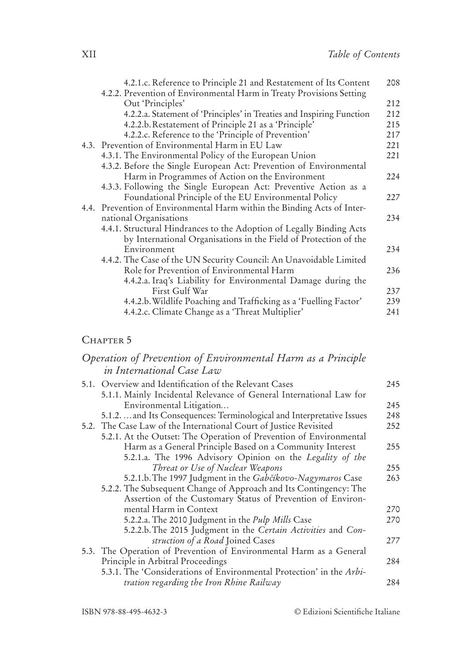|  | 4.2.1.c. Reference to Principle 21 and Restatement of Its Content<br>4.2.2. Prevention of Environmental Harm in Treaty Provisions Setting | 208 |
|--|-------------------------------------------------------------------------------------------------------------------------------------------|-----|
|  | Out 'Principles'                                                                                                                          | 212 |
|  |                                                                                                                                           | 212 |
|  | 4.2.2.a. Statement of 'Principles' in Treaties and Inspiring Function                                                                     |     |
|  | 4.2.2.b. Restatement of Principle 21 as a 'Principle'                                                                                     | 215 |
|  | 4.2.2.c. Reference to the 'Principle of Prevention'                                                                                       | 217 |
|  | 4.3. Prevention of Environmental Harm in EU Law                                                                                           | 221 |
|  | 4.3.1. The Environmental Policy of the European Union                                                                                     | 221 |
|  | 4.3.2. Before the Single European Act: Prevention of Environmental                                                                        |     |
|  | Harm in Programmes of Action on the Environment                                                                                           | 224 |
|  | 4.3.3. Following the Single European Act: Preventive Action as a                                                                          |     |
|  | Foundational Principle of the EU Environmental Policy                                                                                     | 227 |
|  | 4.4. Prevention of Environmental Harm within the Binding Acts of Inter-                                                                   |     |
|  | national Organisations                                                                                                                    | 234 |
|  | 4.4.1. Structural Hindrances to the Adoption of Legally Binding Acts                                                                      |     |
|  | by International Organisations in the Field of Protection of the                                                                          |     |
|  | Environment                                                                                                                               | 234 |
|  | 4.4.2. The Case of the UN Security Council: An Unavoidable Limited                                                                        |     |
|  | Role for Prevention of Environmental Harm                                                                                                 | 236 |
|  | 4.4.2.a. Iraq's Liability for Environmental Damage during the                                                                             |     |
|  | First Gulf War                                                                                                                            | 237 |
|  |                                                                                                                                           |     |
|  | 4.4.2.b. Wildlife Poaching and Trafficking as a 'Fuelling Factor'                                                                         | 239 |
|  | 4.4.2.c. Climate Change as a 'Threat Multiplier'                                                                                          | 241 |

### CHAPTER 5

### *Operation of Prevention of Environmental Harm as a Principle in International Case Law*

| 5.1. Overview and Identification of the Relevant Cases                 | 245 |
|------------------------------------------------------------------------|-----|
| 5.1.1. Mainly Incidental Relevance of General International Law for    |     |
| Environmental Litigation                                               | 245 |
| 5.1.2.  and Its Consequences: Terminological and Interpretative Issues | 248 |
| 5.2. The Case Law of the International Court of Justice Revisited      | 252 |
| 5.2.1. At the Outset: The Operation of Prevention of Environmental     |     |
| Harm as a General Principle Based on a Community Interest              | 255 |
| 5.2.1.a. The 1996 Advisory Opinion on the Legality of the              |     |
| Threat or Use of Nuclear Weapons                                       | 255 |
| 5.2.1.b. The 1997 Judgment in the Gabčíkovo-Nagymaros Case             | 263 |
| 5.2.2. The Subsequent Change of Approach and Its Contingency: The      |     |
| Assertion of the Customary Status of Prevention of Environ-            |     |
| mental Harm in Context                                                 | 270 |
| 5.2.2.a. The 2010 Judgment in the Pulp Mills Case                      | 270 |
| 5.2.2.b. The 2015 Judgment in the Certain Activities and Con-          |     |
| struction of a Road Joined Cases                                       | 277 |
| 5.3. The Operation of Prevention of Environmental Harm as a General    |     |
| Principle in Arbitral Proceedings                                      | 284 |
| 5.3.1. The 'Considerations of Environmental Protection' in the Arbi-   |     |
| tration regarding the Iron Rhine Railway                               | 284 |

ISBN 978-88-495-4632-3 © Edizioni Scientifiche Italiane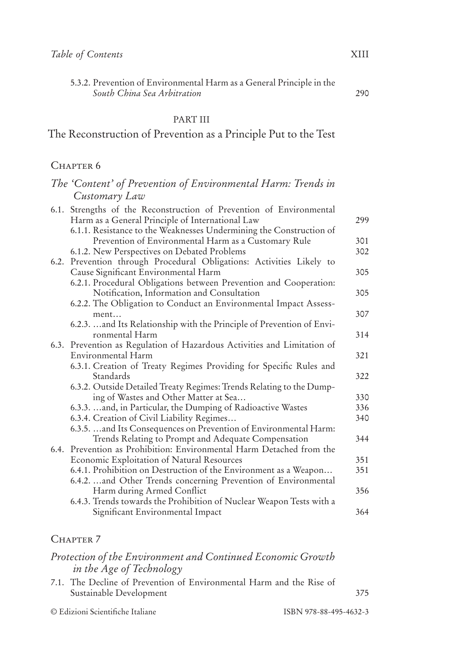5.3.2. Prevention of Environmental Harm as a General Principle in the *South China Sea Arbitration* 290

#### PART III

## The Reconstruction of Prevention as a Principle Put to the Test

#### CHAPTER 6

## *The 'Content' of Prevention of Environmental Harm: Trends in Customary Law*

|      | 6.1. Strengths of the Reconstruction of Prevention of Environmental     |     |
|------|-------------------------------------------------------------------------|-----|
|      | Harm as a General Principle of International Law                        | 299 |
|      | 6.1.1. Resistance to the Weaknesses Undermining the Construction of     |     |
|      | Prevention of Environmental Harm as a Customary Rule                    | 301 |
|      | 6.1.2. New Perspectives on Debated Problems                             | 302 |
| 6.2. | Prevention through Procedural Obligations: Activities Likely to         |     |
|      | Cause Significant Environmental Harm                                    | 305 |
|      | 6.2.1. Procedural Obligations between Prevention and Cooperation:       |     |
|      | Notification, Information and Consultation                              | 305 |
|      | 6.2.2. The Obligation to Conduct an Environmental Impact Assess-        |     |
|      | ment                                                                    | 307 |
|      | 6.2.3.  and Its Relationship with the Principle of Prevention of Envi-  |     |
|      | ronmental Harm                                                          | 314 |
|      | 6.3. Prevention as Regulation of Hazardous Activities and Limitation of |     |
|      | Environmental Harm                                                      | 321 |
|      | 6.3.1. Creation of Treaty Regimes Providing for Specific Rules and      |     |
|      | Standards                                                               | 322 |
|      | 6.3.2. Outside Detailed Treaty Regimes: Trends Relating to the Dump-    |     |
|      | ing of Wastes and Other Matter at Sea                                   | 330 |
|      | 6.3.3.  and, in Particular, the Dumping of Radioactive Wastes           | 336 |
|      | 6.3.4. Creation of Civil Liability Regimes                              | 340 |
|      | 6.3.5.  and Its Consequences on Prevention of Environmental Harm:       |     |
|      | Trends Relating to Prompt and Adequate Compensation                     | 344 |
|      | 6.4. Prevention as Prohibition: Environmental Harm Detached from the    |     |
|      | Economic Exploitation of Natural Resources                              | 351 |
|      | 6.4.1. Prohibition on Destruction of the Environment as a Weapon        | 351 |
|      | 6.4.2.  and Other Trends concerning Prevention of Environmental         |     |
|      | Harm during Armed Conflict                                              | 356 |
|      | 6.4.3. Trends towards the Prohibition of Nuclear Weapon Tests with a    |     |
|      | Significant Environmental Impact                                        | 364 |

#### CHAPTER<sub>7</sub>

### *Protection of the Environment and Continued Economic Growth in the Age of Technology*

7.1. The Decline of Prevention of Environmental Harm and the Rise of Sustainable Development 375